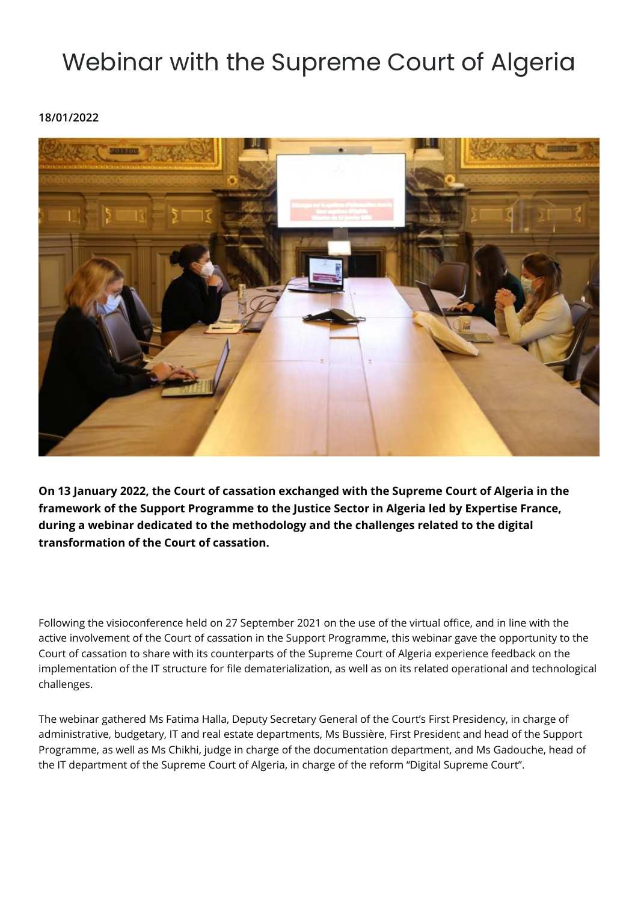## Webinar with the Supreme Court of Algeria

**18/01/2022**



**On 13 January 2022, the Court of cassation exchanged with the Supreme Court of Algeria in the framework of the Support Programme to the Justice Sector in Algeria led by Expertise France, during a webinar dedicated to the methodology and the challenges related to the digital transformation of the Court of cassation.** 

Following the visioconference held on 27 September 2021 on the use of the virtual office, and in line with the active involvement of the Court of cassation in the Support Programme, this webinar gave the opportunity to the Court of cassation to share with its counterparts of the Supreme Court of Algeria experience feedback on the implementation of the IT structure for file dematerialization, as well as on its related operational and technological challenges.

The webinar gathered Ms Fatima Halla, Deputy Secretary General of the Court's First Presidency, in charge of administrative, budgetary, IT and real estate departments, Ms Bussière, First President and head of the Support Programme, as well as Ms Chikhi, judge in charge of the documentation department, and Ms Gadouche, head of the IT department of the Supreme Court of Algeria, in charge of the reform "Digital Supreme Court".